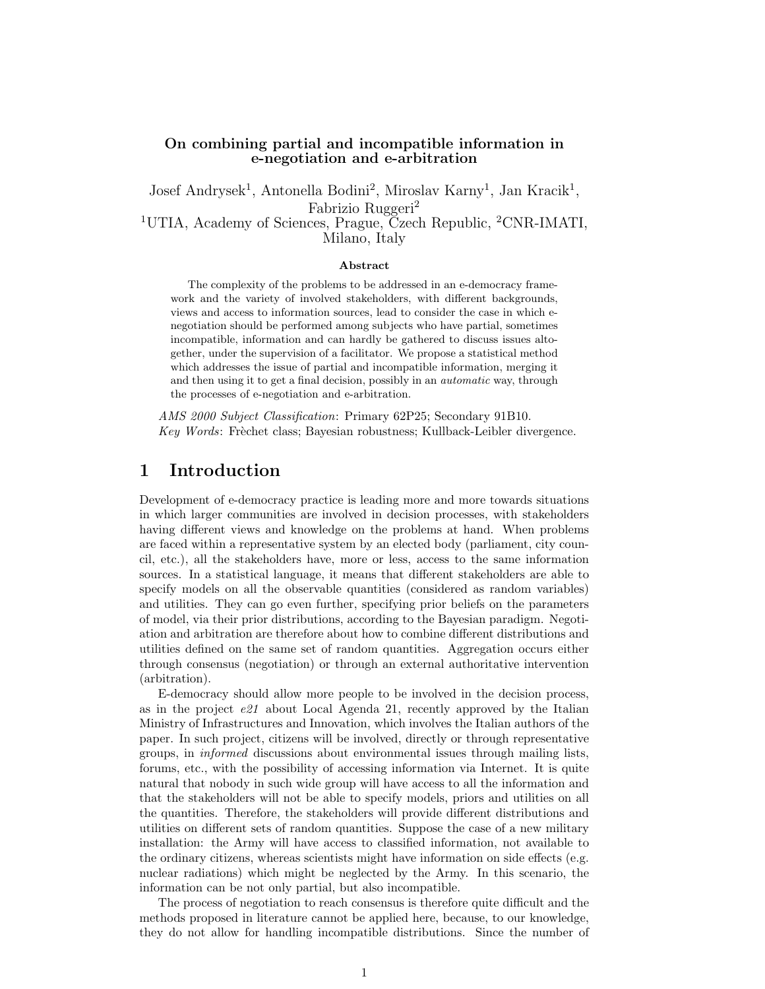### On combining partial and incompatible information in e-negotiation and e-arbitration

Josef Andrysek<sup>1</sup>, Antonella Bodini<sup>2</sup>, Miroslav Karny<sup>1</sup>, Jan Kracik<sup>1</sup>, Fabrizio Ruggeri<sup>2</sup> <sup>1</sup>UTIA, Academy of Sciences, Prague, Czech Republic, <sup>2</sup>CNR-IMATI,

Milano, Italy

#### Abstract

The complexity of the problems to be addressed in an e-democracy framework and the variety of involved stakeholders, with different backgrounds, views and access to information sources, lead to consider the case in which enegotiation should be performed among subjects who have partial, sometimes incompatible, information and can hardly be gathered to discuss issues altogether, under the supervision of a facilitator. We propose a statistical method which addresses the issue of partial and incompatible information, merging it and then using it to get a final decision, possibly in an automatic way, through the processes of e-negotiation and e-arbitration.

AMS 2000 Subject Classification: Primary 62P25; Secondary 91B10. Key Words: Frèchet class; Bayesian robustness; Kullback-Leibler divergence.

### 1 Introduction

Development of e-democracy practice is leading more and more towards situations in which larger communities are involved in decision processes, with stakeholders having different views and knowledge on the problems at hand. When problems are faced within a representative system by an elected body (parliament, city council, etc.), all the stakeholders have, more or less, access to the same information sources. In a statistical language, it means that different stakeholders are able to specify models on all the observable quantities (considered as random variables) and utilities. They can go even further, specifying prior beliefs on the parameters of model, via their prior distributions, according to the Bayesian paradigm. Negotiation and arbitration are therefore about how to combine different distributions and utilities defined on the same set of random quantities. Aggregation occurs either through consensus (negotiation) or through an external authoritative intervention (arbitration).

E-democracy should allow more people to be involved in the decision process, as in the project  $e21$  about Local Agenda 21, recently approved by the Italian Ministry of Infrastructures and Innovation, which involves the Italian authors of the paper. In such project, citizens will be involved, directly or through representative groups, in informed discussions about environmental issues through mailing lists, forums, etc., with the possibility of accessing information via Internet. It is quite natural that nobody in such wide group will have access to all the information and that the stakeholders will not be able to specify models, priors and utilities on all the quantities. Therefore, the stakeholders will provide different distributions and utilities on different sets of random quantities. Suppose the case of a new military installation: the Army will have access to classified information, not available to the ordinary citizens, whereas scientists might have information on side effects (e.g. nuclear radiations) which might be neglected by the Army. In this scenario, the information can be not only partial, but also incompatible.

The process of negotiation to reach consensus is therefore quite difficult and the methods proposed in literature cannot be applied here, because, to our knowledge, they do not allow for handling incompatible distributions. Since the number of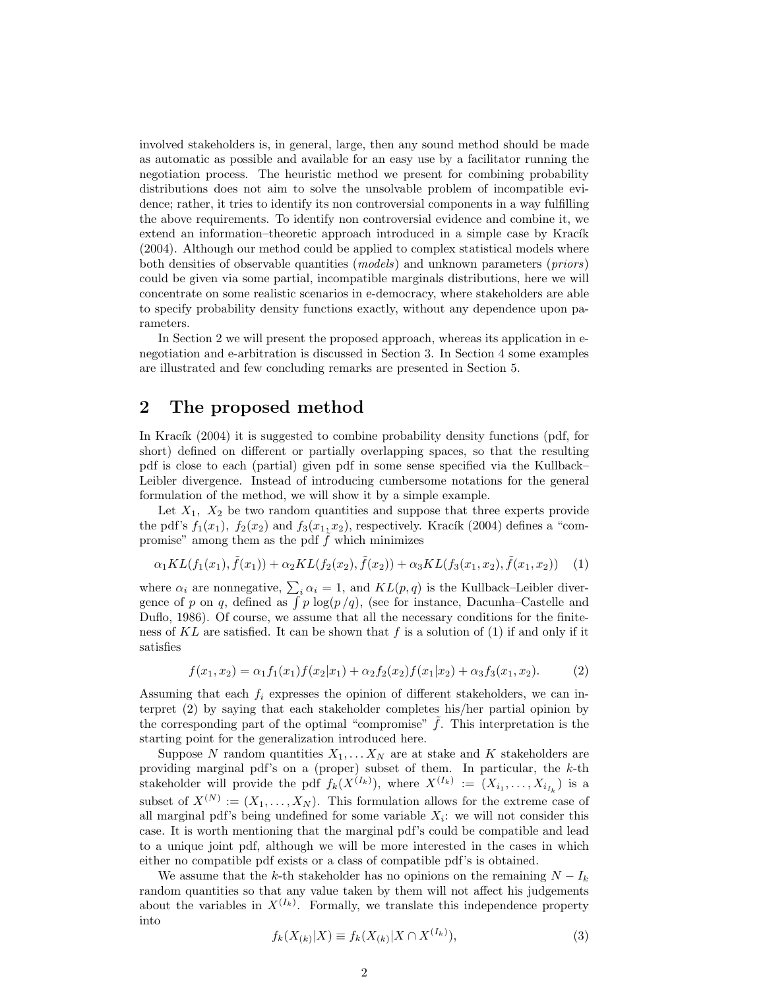involved stakeholders is, in general, large, then any sound method should be made as automatic as possible and available for an easy use by a facilitator running the negotiation process. The heuristic method we present for combining probability distributions does not aim to solve the unsolvable problem of incompatible evidence; rather, it tries to identify its non controversial components in a way fulfilling the above requirements. To identify non controversial evidence and combine it, we extend an information–theoretic approach introduced in a simple case by Kracík (2004). Although our method could be applied to complex statistical models where both densities of observable quantities (models) and unknown parameters (priors) could be given via some partial, incompatible marginals distributions, here we will concentrate on some realistic scenarios in e-democracy, where stakeholders are able to specify probability density functions exactly, without any dependence upon parameters.

In Section 2 we will present the proposed approach, whereas its application in enegotiation and e-arbitration is discussed in Section 3. In Section 4 some examples are illustrated and few concluding remarks are presented in Section 5.

# 2 The proposed method

In Kracík (2004) it is suggested to combine probability density functions (pdf, for short) defined on different or partially overlapping spaces, so that the resulting pdf is close to each (partial) given pdf in some sense specified via the Kullback– Leibler divergence. Instead of introducing cumbersome notations for the general formulation of the method, we will show it by a simple example.

Let  $X_1$ ,  $X_2$  be two random quantities and suppose that three experts provide the pdf's  $f_1(x_1)$ ,  $f_2(x_2)$  and  $f_3(x_1, x_2)$ , respectively. Kracík (2004) defines a "compromise" among them as the pdf  $\tilde{f}$  which minimizes

$$
\alpha_1 KL(f_1(x_1), \tilde{f}(x_1)) + \alpha_2 KL(f_2(x_2), \tilde{f}(x_2)) + \alpha_3 KL(f_3(x_1, x_2), \tilde{f}(x_1, x_2)) \quad (1)
$$

where  $\alpha_i$  are nonnegative,  $\sum_i \alpha_i = 1$ , and  $KL(p, q)$  is the Kullback–Leibler divergence of p on q, defined as  $\int p \log(p/q)$ , (see for instance, Dacunha–Castelle and Duflo, 1986). Of course, we assume that all the necessary conditions for the finiteness of  $KL$  are satisfied. It can be shown that f is a solution of (1) if and only if it satisfies

$$
f(x_1, x_2) = \alpha_1 f_1(x_1) f(x_2 | x_1) + \alpha_2 f_2(x_2) f(x_1 | x_2) + \alpha_3 f_3(x_1, x_2).
$$
 (2)

Assuming that each  $f_i$  expresses the opinion of different stakeholders, we can interpret (2) by saying that each stakeholder completes his/her partial opinion by the corresponding part of the optimal "compromise"  $\hat{f}$ . This interpretation is the starting point for the generalization introduced here.

Suppose N random quantities  $X_1, \ldots X_N$  are at stake and K stakeholders are providing marginal pdf's on a (proper) subset of them. In particular, the k-th stakeholder will provide the pdf  $f_k(X^{(I_k)})$ , where  $X^{(I_k)} := (X_{i_1}, \ldots, X_{i_{I_k}})$  is a subset of  $X^{(N)} := (X_1, \ldots, X_N)$ . This formulation allows for the extreme case of all marginal pdf's being undefined for some variable  $X_i$ : we will not consider this case. It is worth mentioning that the marginal pdf's could be compatible and lead to a unique joint pdf, although we will be more interested in the cases in which either no compatible pdf exists or a class of compatible pdf's is obtained.

We assume that the k-th stakeholder has no opinions on the remaining  $N - I_k$ random quantities so that any value taken by them will not affect his judgements about the variables in  $X^{(I_k)}$ . Formally, we translate this independence property into

$$
f_k(X_{(k)}|X) \equiv f_k(X_{(k)}|X \cap X^{(I_k)}),\tag{3}
$$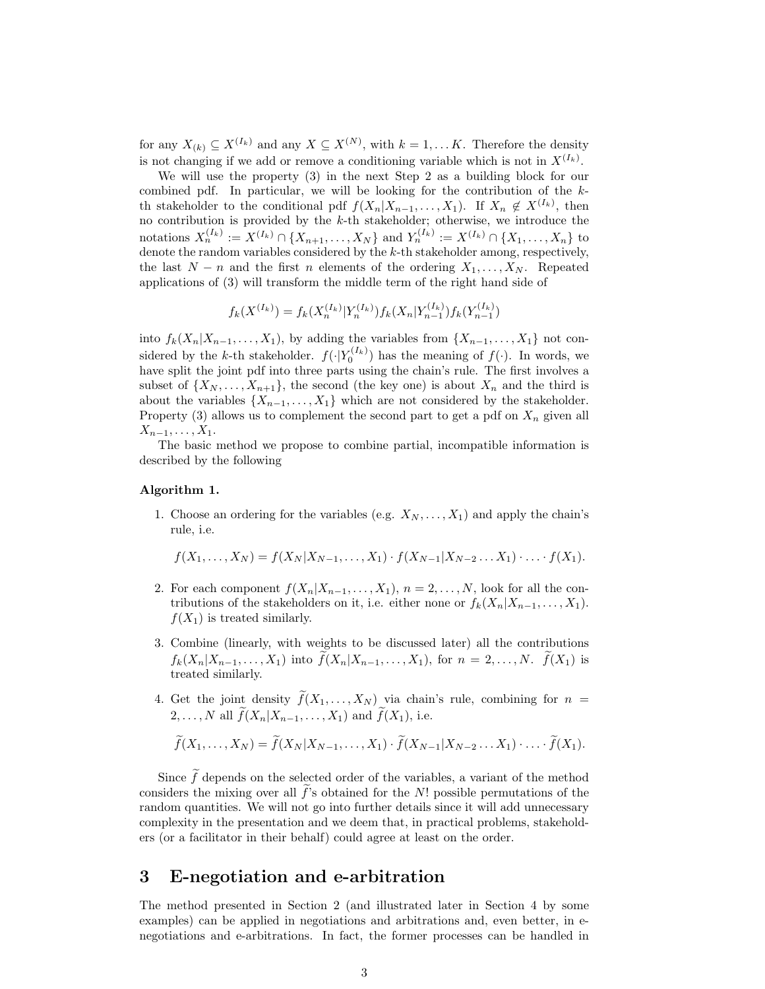for any  $X_{(k)} \subseteq X^{(I_k)}$  and any  $X \subseteq X^{(N)}$ , with  $k = 1, \ldots K$ . Therefore the density is not changing if we add or remove a conditioning variable which is not in  $X^{(I_k)}$ .

We will use the property (3) in the next Step 2 as a building block for our combined pdf. In particular, we will be looking for the contribution of the  $k$ th stakeholder to the conditional pdf  $f(X_n|X_{n-1},...,X_1)$ . If  $X_n \notin X^{(I_k)}$ , then no contribution is provided by the  $k$ -th stakeholder; otherwise, we introduce the notations  $X_n^{(I_k)} := X^{(I_k)} \cap \{X_{n+1}, \ldots, X_N\}$  and  $Y_n^{(I_k)} := X^{(I_k)} \cap \{X_1, \ldots, X_n\}$  to denote the random variables considered by the k-th stakeholder among, respectively, the last  $N - n$  and the first n elements of the ordering  $X_1, \ldots, X_N$ . Repeated applications of (3) will transform the middle term of the right hand side of

$$
f_k(X^{(I_k)}) = f_k(X_n^{(I_k)}|Y_n^{(I_k)}) f_k(X_n|Y_{n-1}^{(I_k)}) f_k(Y_{n-1}^{(I_k)})
$$

into  $f_k(X_n|X_{n-1},...,X_1)$ , by adding the variables from  $\{X_{n-1},...,X_1\}$  not considered by the k-th stakeholder.  $f(\cdot|Y_0^{(I_k)})$  has the meaning of  $f(\cdot)$ . In words, we have split the joint pdf into three parts using the chain's rule. The first involves a subset of  $\{X_N, \ldots, X_{n+1}\}\)$ , the second (the key one) is about  $X_n$  and the third is about the variables  $\{X_{n-1}, \ldots, X_1\}$  which are not considered by the stakeholder. Property (3) allows us to complement the second part to get a pdf on  $X_n$  given all  $X_{n-1},\ldots,X_1.$ 

The basic method we propose to combine partial, incompatible information is described by the following

#### Algorithm 1.

1. Choose an ordering for the variables (e.g.  $X_N, \ldots, X_1$ ) and apply the chain's rule, i.e.

$$
f(X_1, ..., X_N) = f(X_N | X_{N-1}, ..., X_1) \cdot f(X_{N-1} | X_{N-2} ... X_1) \cdot ... \cdot f(X_1).
$$

- 2. For each component  $f(X_n|X_{n-1},...,X_1), n = 2,..., N$ , look for all the contributions of the stakeholders on it, i.e. either none or  $f_k(X_n|X_{n-1}, \ldots, X_1)$ .  $f(X_1)$  is treated similarly.
- 3. Combine (linearly, with weights to be discussed later) all the contributions  $f_k(X_n|X_{n-1},\ldots,X_1)$  into  $\widetilde{f}(X_n|X_{n-1},\ldots,X_1)$ , for  $n=2,\ldots,N$ .  $\widetilde{f}(X_1)$  is treated similarly.
- 4. Get the joint density  $\widetilde{f}(X_1,\ldots,X_N)$  via chain's rule, combining for  $n =$ 2, ..., N all  $\widetilde{f}(X_n|X_{n-1},\ldots,X_1)$  and  $\widetilde{f}(X_1)$ , i.e.

$$
\widetilde{f}(X_1,\ldots,X_N)=\widetilde{f}(X_N|X_{N-1},\ldots,X_1)\cdot\widetilde{f}(X_{N-1}|X_{N-2}\ldots X_1)\cdot\ldots\cdot\widetilde{f}(X_1).
$$

Since  $\tilde{f}$  depends on the selected order of the variables, a variant of the method considers the mixing over all  $f$ 's obtained for the  $N!$  possible permutations of the random quantities. We will not go into further details since it will add unnecessary complexity in the presentation and we deem that, in practical problems, stakeholders (or a facilitator in their behalf) could agree at least on the order.

### 3 E-negotiation and e-arbitration

The method presented in Section 2 (and illustrated later in Section 4 by some examples) can be applied in negotiations and arbitrations and, even better, in enegotiations and e-arbitrations. In fact, the former processes can be handled in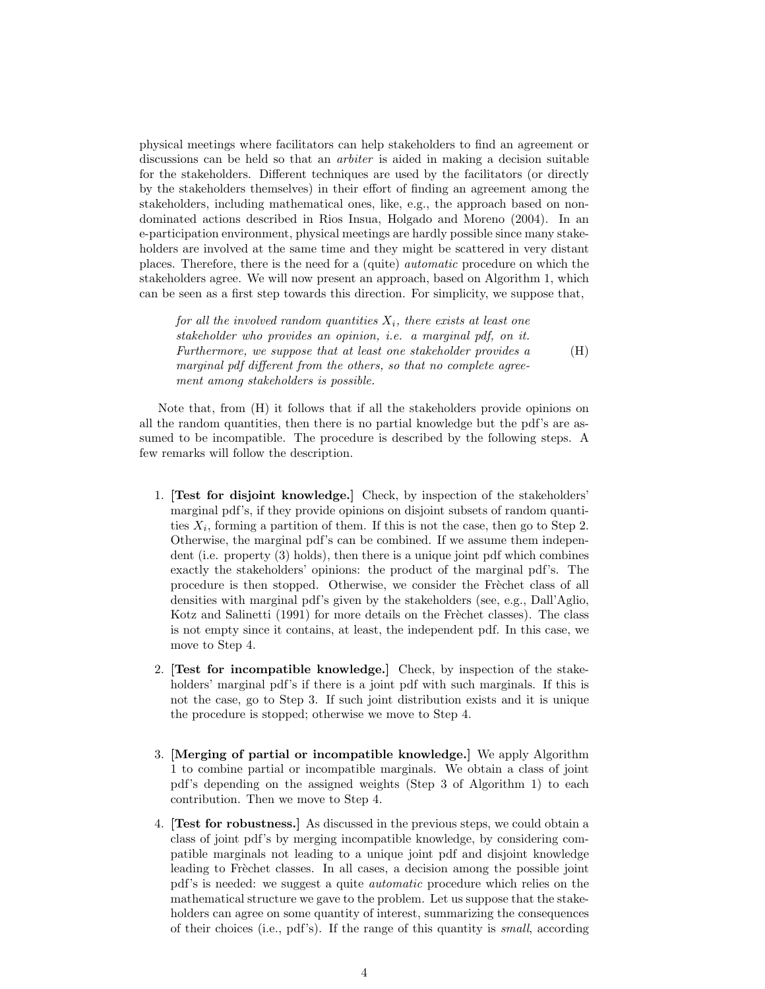physical meetings where facilitators can help stakeholders to find an agreement or discussions can be held so that an arbiter is aided in making a decision suitable for the stakeholders. Different techniques are used by the facilitators (or directly by the stakeholders themselves) in their effort of finding an agreement among the stakeholders, including mathematical ones, like, e.g., the approach based on nondominated actions described in Rios Insua, Holgado and Moreno (2004). In an e-participation environment, physical meetings are hardly possible since many stakeholders are involved at the same time and they might be scattered in very distant places. Therefore, there is the need for a (quite) automatic procedure on which the stakeholders agree. We will now present an approach, based on Algorithm 1, which can be seen as a first step towards this direction. For simplicity, we suppose that,

for all the involved random quantities  $X_i$ , there exists at least one stakeholder who provides an opinion, i.e. a marginal pdf, on it. Furthermore, we suppose that at least one stakeholder provides a marginal pdf different from the others, so that no complete agreement among stakeholders is possible. (H)

Note that, from (H) it follows that if all the stakeholders provide opinions on all the random quantities, then there is no partial knowledge but the pdf's are assumed to be incompatible. The procedure is described by the following steps. A few remarks will follow the description.

- 1. [Test for disjoint knowledge.] Check, by inspection of the stakeholders' marginal pdf's, if they provide opinions on disjoint subsets of random quantities  $X_i$ , forming a partition of them. If this is not the case, then go to Step 2. Otherwise, the marginal pdf's can be combined. If we assume them independent (i.e. property (3) holds), then there is a unique joint pdf which combines exactly the stakeholders' opinions: the product of the marginal pdf's. The procedure is then stopped. Otherwise, we consider the Freehet class of all densities with marginal pdf's given by the stakeholders (see, e.g., Dall'Aglio, Kotz and Salinetti (1991) for more details on the Freehet classes). The class is not empty since it contains, at least, the independent pdf. In this case, we move to Step 4.
- 2. [Test for incompatible knowledge.] Check, by inspection of the stakeholders' marginal pdf's if there is a joint pdf with such marginals. If this is not the case, go to Step 3. If such joint distribution exists and it is unique the procedure is stopped; otherwise we move to Step 4.
- 3. [Merging of partial or incompatible knowledge.] We apply Algorithm 1 to combine partial or incompatible marginals. We obtain a class of joint pdf's depending on the assigned weights (Step 3 of Algorithm 1) to each contribution. Then we move to Step 4.
- 4. [Test for robustness.] As discussed in the previous steps, we could obtain a class of joint pdf's by merging incompatible knowledge, by considering compatible marginals not leading to a unique joint pdf and disjoint knowledge leading to Frèchet classes. In all cases, a decision among the possible joint pdf's is needed: we suggest a quite automatic procedure which relies on the mathematical structure we gave to the problem. Let us suppose that the stakeholders can agree on some quantity of interest, summarizing the consequences of their choices (i.e.,  $pdf's)$ ). If the range of this quantity is *small*, according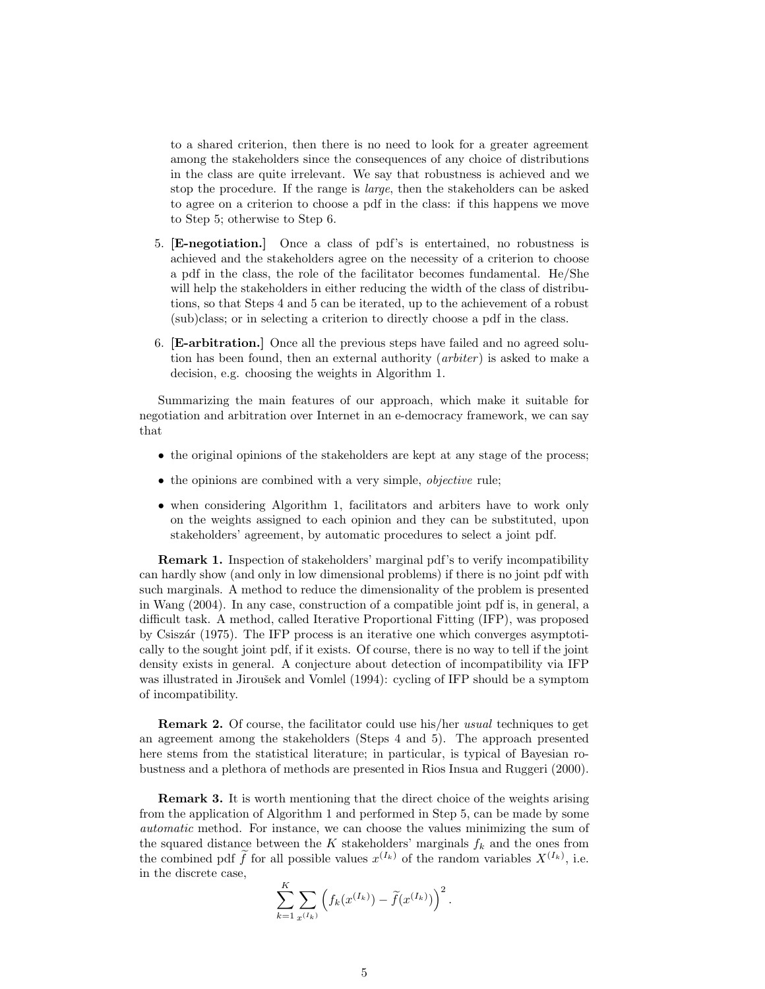to a shared criterion, then there is no need to look for a greater agreement among the stakeholders since the consequences of any choice of distributions in the class are quite irrelevant. We say that robustness is achieved and we stop the procedure. If the range is large, then the stakeholders can be asked to agree on a criterion to choose a pdf in the class: if this happens we move to Step 5; otherwise to Step 6.

- 5. [E-negotiation.] Once a class of pdf's is entertained, no robustness is achieved and the stakeholders agree on the necessity of a criterion to choose a pdf in the class, the role of the facilitator becomes fundamental. He/She will help the stakeholders in either reducing the width of the class of distributions, so that Steps 4 and 5 can be iterated, up to the achievement of a robust (sub)class; or in selecting a criterion to directly choose a pdf in the class.
- 6. [E-arbitration.] Once all the previous steps have failed and no agreed solution has been found, then an external authority  $(arbiter)$  is asked to make a decision, e.g. choosing the weights in Algorithm 1.

Summarizing the main features of our approach, which make it suitable for negotiation and arbitration over Internet in an e-democracy framework, we can say that

- the original opinions of the stakeholders are kept at any stage of the process;
- the opinions are combined with a very simple, *objective* rule;
- when considering Algorithm 1, facilitators and arbiters have to work only on the weights assigned to each opinion and they can be substituted, upon stakeholders' agreement, by automatic procedures to select a joint pdf.

Remark 1. Inspection of stakeholders' marginal pdf's to verify incompatibility can hardly show (and only in low dimensional problems) if there is no joint pdf with such marginals. A method to reduce the dimensionality of the problem is presented in Wang (2004). In any case, construction of a compatible joint pdf is, in general, a difficult task. A method, called Iterative Proportional Fitting (IFP), was proposed by Csiszár (1975). The IFP process is an iterative one which converges asymptotically to the sought joint pdf, if it exists. Of course, there is no way to tell if the joint density exists in general. A conjecture about detection of incompatibility via IFP was illustrated in Jiroušek and Vomlel (1994): cycling of IFP should be a symptom of incompatibility.

Remark 2. Of course, the facilitator could use his/her usual techniques to get an agreement among the stakeholders (Steps 4 and 5). The approach presented here stems from the statistical literature; in particular, is typical of Bayesian robustness and a plethora of methods are presented in Rios Insua and Ruggeri (2000).

Remark 3. It is worth mentioning that the direct choice of the weights arising from the application of Algorithm 1 and performed in Step 5, can be made by some automatic method. For instance, we can choose the values minimizing the sum of the squared distance between the K stakeholders' marginals  $f_k$  and the ones from the combined pdf  $\tilde{f}$  for all possible values  $x^{(I_k)}$  of the random variables  $X^{(I_k)}$ , i.e. in the discrete case,

$$
\sum_{k=1}^K \sum_{x^{(I_k)}} \left( f_k(x^{(I_k)}) - \tilde{f}(x^{(I_k)}) \right)^2.
$$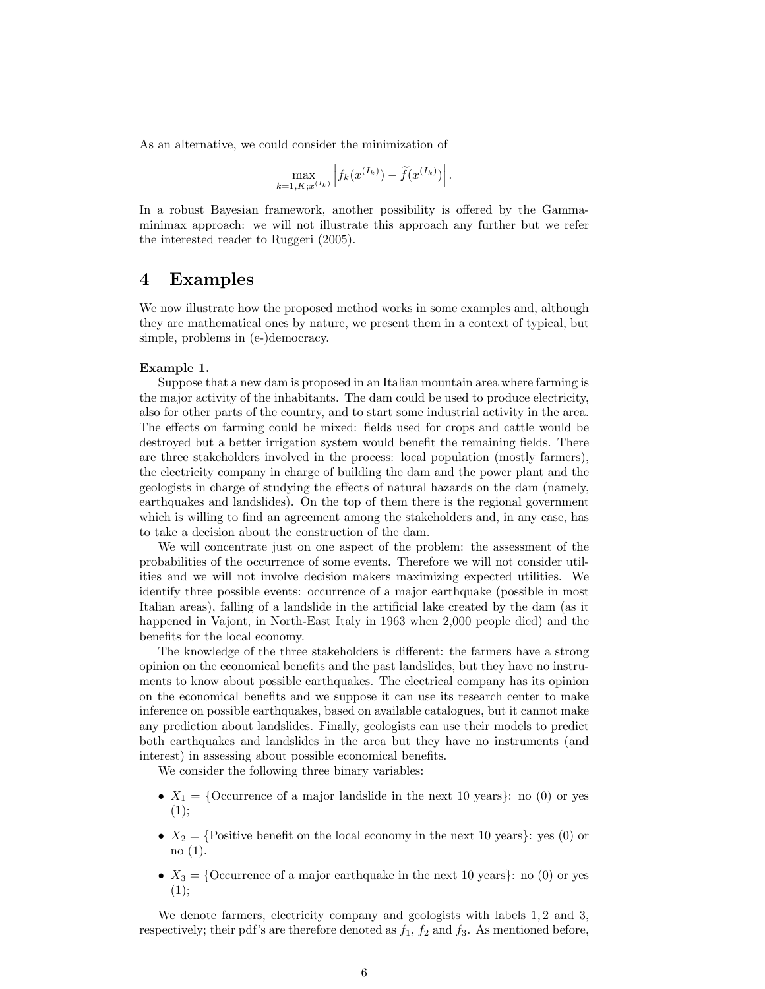As an alternative, we could consider the minimization of

$$
\max_{k=1,K;x^{(I_k)}} \left| f_k(x^{(I_k)}) - \widetilde{f}(x^{(I_k)}) \right|.
$$

In a robust Bayesian framework, another possibility is offered by the Gammaminimax approach: we will not illustrate this approach any further but we refer the interested reader to Ruggeri (2005).

### 4 Examples

We now illustrate how the proposed method works in some examples and, although they are mathematical ones by nature, we present them in a context of typical, but simple, problems in (e-)democracy.

#### Example 1.

Suppose that a new dam is proposed in an Italian mountain area where farming is the major activity of the inhabitants. The dam could be used to produce electricity, also for other parts of the country, and to start some industrial activity in the area. The effects on farming could be mixed: fields used for crops and cattle would be destroyed but a better irrigation system would benefit the remaining fields. There are three stakeholders involved in the process: local population (mostly farmers), the electricity company in charge of building the dam and the power plant and the geologists in charge of studying the effects of natural hazards on the dam (namely, earthquakes and landslides). On the top of them there is the regional government which is willing to find an agreement among the stakeholders and, in any case, has to take a decision about the construction of the dam.

We will concentrate just on one aspect of the problem: the assessment of the probabilities of the occurrence of some events. Therefore we will not consider utilities and we will not involve decision makers maximizing expected utilities. We identify three possible events: occurrence of a major earthquake (possible in most Italian areas), falling of a landslide in the artificial lake created by the dam (as it happened in Vajont, in North-East Italy in 1963 when 2,000 people died) and the benefits for the local economy.

The knowledge of the three stakeholders is different: the farmers have a strong opinion on the economical benefits and the past landslides, but they have no instruments to know about possible earthquakes. The electrical company has its opinion on the economical benefits and we suppose it can use its research center to make inference on possible earthquakes, based on available catalogues, but it cannot make any prediction about landslides. Finally, geologists can use their models to predict both earthquakes and landslides in the area but they have no instruments (and interest) in assessing about possible economical benefits.

We consider the following three binary variables:

- $X_1 = \{$ Occurrence of a major landslide in the next 10 years $\}$ : no (0) or yes  $(1);$
- $X_2 = \{Positive benefit on the local economy in the next 10 years\}$ : yes (0) or no (1).
- $X_3 = \{$ Occurrence of a major earthquake in the next 10 years $\}$ : no (0) or yes  $(1);$

We denote farmers, electricity company and geologists with labels 1, 2 and 3, respectively; their pdf's are therefore denoted as  $f_1$ ,  $f_2$  and  $f_3$ . As mentioned before,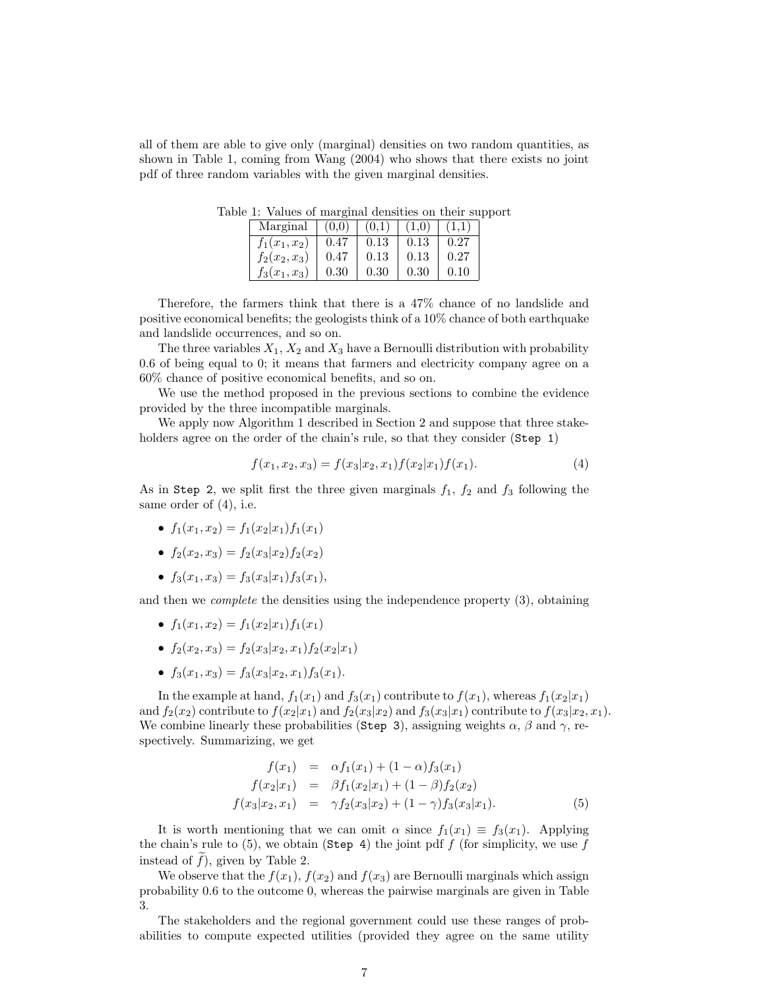all of them are able to give only (marginal) densities on two random quantities, as shown in Table 1, coming from Wang (2004) who shows that there exists no joint pdf of three random variables with the given marginal densities.

| Twist of most gives achieved on their cap- |       |            |          |      |  |  |  |
|--------------------------------------------|-------|------------|----------|------|--|--|--|
| Marginal                                   | (0.0) | (0,1)      | (1.0)    |      |  |  |  |
| $f_1(x_1, x_2)$                            | 0.47  | $\rm 0.13$ | 0.13     | 0.27 |  |  |  |
| $f_2(x_2, x_3)$                            | 0.47  | 0.13       | 0.13     | 0.27 |  |  |  |
| $f_3(x_1, x_3)$                            | 0.30  | $0.30\,$   | $0.30\,$ |      |  |  |  |

Table 1: Values of marginal densities on their support

Therefore, the farmers think that there is a 47% chance of no landslide and positive economical benefits; the geologists think of a 10% chance of both earthquake and landslide occurrences, and so on.

The three variables  $X_1, X_2$  and  $X_3$  have a Bernoulli distribution with probability 0.6 of being equal to 0; it means that farmers and electricity company agree on a 60% chance of positive economical benefits, and so on.

We use the method proposed in the previous sections to combine the evidence provided by the three incompatible marginals.

We apply now Algorithm 1 described in Section 2 and suppose that three stakeholders agree on the order of the chain's rule, so that they consider (Step 1)

$$
f(x_1, x_2, x_3) = f(x_3|x_2, x_1) f(x_2|x_1) f(x_1).
$$
\n(4)

As in Step 2, we split first the three given marginals  $f_1$ ,  $f_2$  and  $f_3$  following the same order of (4), i.e.

- $f_1(x_1, x_2) = f_1(x_2|x_1)f_1(x_1)$
- $f_2(x_2, x_3) = f_2(x_3|x_2)f_2(x_2)$
- $f_3(x_1, x_3) = f_3(x_3|x_1) f_3(x_1),$

and then we *complete* the densities using the independence property (3), obtaining

- $f_1(x_1, x_2) = f_1(x_2|x_1)f_1(x_1)$
- $f_2(x_2, x_3) = f_2(x_3|x_2, x_1) f_2(x_2|x_1)$
- $f_3(x_1, x_3) = f_3(x_3|x_2, x_1) f_3(x_1).$

In the example at hand,  $f_1(x_1)$  and  $f_3(x_1)$  contribute to  $f(x_1)$ , whereas  $f_1(x_2|x_1)$ and  $f_2(x_2)$  contribute to  $f(x_2|x_1)$  and  $f_2(x_3|x_2)$  and  $f_3(x_3|x_1)$  contribute to  $f(x_3|x_2, x_1)$ . We combine linearly these probabilities (Step 3), assigning weights  $\alpha$ ,  $\beta$  and  $\gamma$ , respectively. Summarizing, we get

$$
f(x_1) = \alpha f_1(x_1) + (1 - \alpha) f_3(x_1)
$$
  
\n
$$
f(x_2|x_1) = \beta f_1(x_2|x_1) + (1 - \beta) f_2(x_2)
$$
  
\n
$$
f(x_3|x_2, x_1) = \gamma f_2(x_3|x_2) + (1 - \gamma) f_3(x_3|x_1).
$$
 (5)

It is worth mentioning that we can omit  $\alpha$  since  $f_1(x_1) \equiv f_3(x_1)$ . Applying the chain's rule to  $(5)$ , we obtain (Step 4) the joint pdf f (for simplicity, we use f instead of  $f$ ), given by Table 2.

We observe that the  $f(x_1)$ ,  $f(x_2)$  and  $f(x_3)$  are Bernoulli marginals which assign probability 0.6 to the outcome 0, whereas the pairwise marginals are given in Table 3.

The stakeholders and the regional government could use these ranges of probabilities to compute expected utilities (provided they agree on the same utility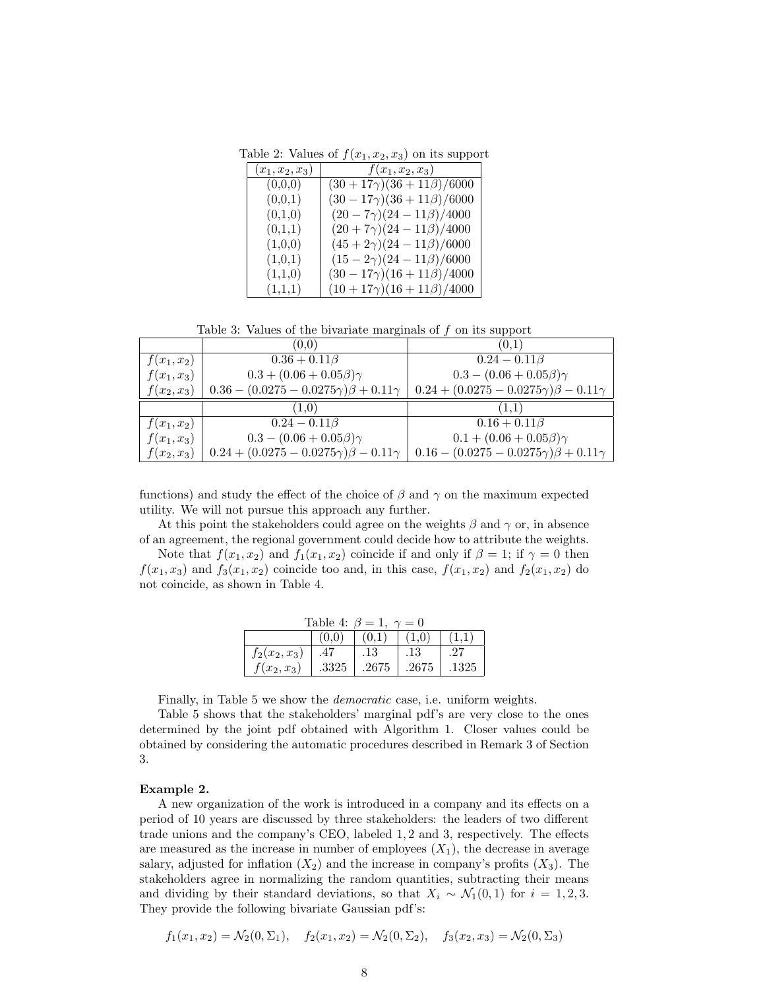Table 2: Values of  $f(x_1, x_2, x_3)$  on its support

| $(x_1, x_2, x_3)$ | $f(x_1, x_2, x_3)$                  |
|-------------------|-------------------------------------|
| (0,0,0)           | $(30+17\gamma)(36+11\beta)/6000$    |
| (0,0,1)           | $(30-17\gamma)(36+11\beta)/6000$    |
| (0,1,0)           | $(20-7\gamma)(24-11\beta)/4000$     |
| (0,1,1)           | $(20+7\gamma)(24-11\beta)/4000$     |
| (1,0,0)           | $(45 + 2\gamma)(24 - 11\beta)/6000$ |
| (1,0,1)           | $(15-2\gamma)(24-11\beta)/6000$     |
| (1,1,0)           | $(30-17\gamma)(16+11\beta)/4000$    |
| (1,1,1)           | $(10+17\gamma)(16+11\beta)/4000$    |

Table 3: Values of the bivariate marginals of f on its support

|               | (0.0)                                              | (0.1)                                              |
|---------------|----------------------------------------------------|----------------------------------------------------|
| $f(x_1, x_2)$ | $0.36 + 0.11\beta$                                 | $0.24 - 0.11\beta$                                 |
| $f(x_1, x_3)$ | $0.3 + (0.06 + 0.05\beta)\gamma$                   | $0.3 - (0.06 + 0.05\beta)\gamma$                   |
| $f(x_2, x_3)$ | $0.36 - (0.0275 - 0.0275\gamma)\beta + 0.11\gamma$ | $0.24 + (0.0275 - 0.0275\gamma)\beta - 0.11\gamma$ |
|               | (1,0)                                              | (1.1)                                              |
| $f(x_1, x_2)$ | $0.24 - 0.11\beta$                                 | $0.16 + 0.11\beta$                                 |
| $f(x_1, x_3)$ | $0.3 - (0.06 + 0.05\beta)\gamma$                   | $0.1 + (0.06 + 0.05\beta)\gamma$                   |
| $f(x_2, x_3)$ | $0.24 + (0.0275 - 0.0275\gamma)\beta - 0.11\gamma$ | $0.16 - (0.0275 - 0.0275\gamma)\beta + 0.11\gamma$ |

functions) and study the effect of the choice of  $\beta$  and  $\gamma$  on the maximum expected utility. We will not pursue this approach any further.

At this point the stakeholders could agree on the weights  $\beta$  and  $\gamma$  or, in absence of an agreement, the regional government could decide how to attribute the weights.

Note that  $f(x_1, x_2)$  and  $f_1(x_1, x_2)$  coincide if and only if  $\beta = 1$ ; if  $\gamma = 0$  then  $f(x_1, x_3)$  and  $f_3(x_1, x_2)$  coincide too and, in this case,  $f(x_1, x_2)$  and  $f_2(x_1, x_2)$  do not coincide, as shown in Table 4.

| Table 4: $\beta = 1$ , $\gamma = 0$ |       |       |       |       |  |  |
|-------------------------------------|-------|-------|-------|-------|--|--|
|                                     | (0.0) | (0,1) | (1,0) |       |  |  |
| $f_2(x_2, x_3)$                     | .47   | .13   | .13   |       |  |  |
| $f(x_2, x_3)$                       | .3325 | .2675 | .2675 | .1325 |  |  |

Finally, in Table 5 we show the democratic case, i.e. uniform weights.

Table 5 shows that the stakeholders' marginal pdf's are very close to the ones determined by the joint pdf obtained with Algorithm 1. Closer values could be obtained by considering the automatic procedures described in Remark 3 of Section 3.

#### Example 2.

A new organization of the work is introduced in a company and its effects on a period of 10 years are discussed by three stakeholders: the leaders of two different trade unions and the company's CEO, labeled 1, 2 and 3, respectively. The effects are measured as the increase in number of employees  $(X_1)$ , the decrease in average salary, adjusted for inflation  $(X_2)$  and the increase in company's profits  $(X_3)$ . The stakeholders agree in normalizing the random quantities, subtracting their means and dividing by their standard deviations, so that  $X_i \sim \mathcal{N}_1(0,1)$  for  $i = 1,2,3$ . They provide the following bivariate Gaussian pdf's:

$$
f_1(x_1, x_2) = \mathcal{N}_2(0, \Sigma_1), \quad f_2(x_1, x_2) = \mathcal{N}_2(0, \Sigma_2), \quad f_3(x_2, x_3) = \mathcal{N}_2(0, \Sigma_3)
$$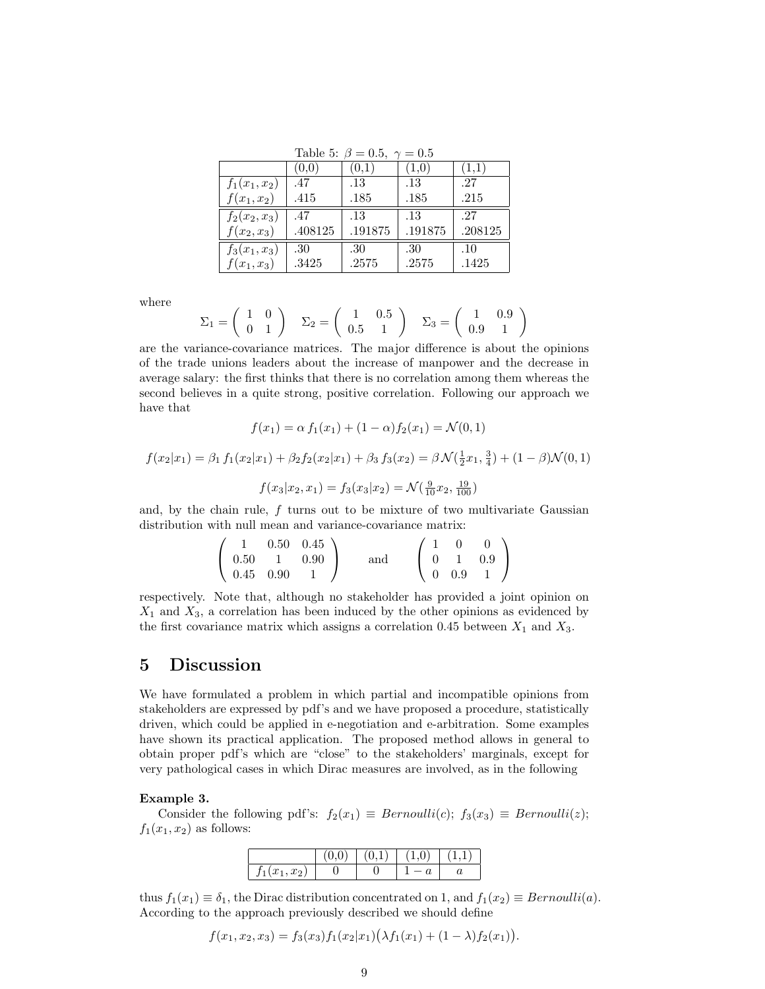| Table 5: $p = 0.5, \gamma = 0.5$ |         |         |         |         |  |  |
|----------------------------------|---------|---------|---------|---------|--|--|
|                                  | (0,0)   | (0,1)   | (1,0)   | (1,1)   |  |  |
| $f_1(x_1, x_2)$                  | .47     | .13     | .13     | .27     |  |  |
| $f(x_1, x_2)$                    | .415    | .185    | .185    | .215    |  |  |
| $f_2(x_2, x_3)$                  | .47     | .13     | .13     | .27     |  |  |
| $f(x_2, x_3)$                    | .408125 | .191875 | .191875 | .208125 |  |  |
| $f_3(x_1, x_3)$                  | .30     | .30     | .30     | $.10\,$ |  |  |
| $f(x_1, x_3)$                    | .3425   | .2575   | .2575   | .1425   |  |  |

 $T_{\rm T11}$  = 0.65

where

$$
\Sigma_1 = \begin{pmatrix} 1 & 0 \\ 0 & 1 \end{pmatrix}
$$
  $\Sigma_2 = \begin{pmatrix} 1 & 0.5 \\ 0.5 & 1 \end{pmatrix}$   $\Sigma_3 = \begin{pmatrix} 1 & 0.9 \\ 0.9 & 1 \end{pmatrix}$ 

are the variance-covariance matrices. The major difference is about the opinions of the trade unions leaders about the increase of manpower and the decrease in average salary: the first thinks that there is no correlation among them whereas the second believes in a quite strong, positive correlation. Following our approach we have that

$$
f(x_1) = \alpha f_1(x_1) + (1 - \alpha)f_2(x_1) = \mathcal{N}(0, 1)
$$

$$
f(x_2|x_1) = \beta_1 f_1(x_2|x_1) + \beta_2 f_2(x_2|x_1) + \beta_3 f_3(x_2) = \beta \mathcal{N}(\frac{1}{2}x_1, \frac{3}{4}) + (1 - \beta)\mathcal{N}(0, 1)
$$

$$
f(x_3|x_2, x_1) = f_3(x_3|x_2) = \mathcal{N}(\frac{9}{10}x_2, \frac{19}{100})
$$

and, by the chain rule,  $f$  turns out to be mixture of two multivariate Gaussian distribution with null mean and variance-covariance matrix:

|  |                                                 | $1 \t 0.50 \t 0.45$       |     | $\Omega$ |                      |  |
|--|-------------------------------------------------|---------------------------|-----|----------|----------------------|--|
|  |                                                 | $0.50 \quad 1 \quad 0.90$ | and |          | $0 \t 1 \t 0.9$      |  |
|  | $\begin{pmatrix} 0.45 & 0.90 & 1 \end{pmatrix}$ |                           |     |          | $0 \t 0.9 \t 1 \t 1$ |  |

respectively. Note that, although no stakeholder has provided a joint opinion on  $X_1$  and  $X_3$ , a correlation has been induced by the other opinions as evidenced by the first covariance matrix which assigns a correlation 0.45 between  $X_1$  and  $X_3$ .

### 5 Discussion

We have formulated a problem in which partial and incompatible opinions from stakeholders are expressed by pdf's and we have proposed a procedure, statistically driven, which could be applied in e-negotiation and e-arbitration. Some examples have shown its practical application. The proposed method allows in general to obtain proper pdf's which are "close" to the stakeholders' marginals, except for very pathological cases in which Dirac measures are involved, as in the following

#### Example 3.

Consider the following pdf's:  $f_2(x_1) \equiv Bernoulli(c)$ ;  $f_3(x_3) \equiv Bernoulli(z)$ ;  $f_1(x_1, x_2)$  as follows:

| u |  |  |
|---|--|--|

thus  $f_1(x_1) \equiv \delta_1$ , the Dirac distribution concentrated on 1, and  $f_1(x_2) \equiv Bernoulli(a)$ . According to the approach previously described we should define

$$
f(x_1, x_2, x_3) = f_3(x_3) f_1(x_2 | x_1) (\lambda f_1(x_1) + (1 - \lambda) f_2(x_1)).
$$